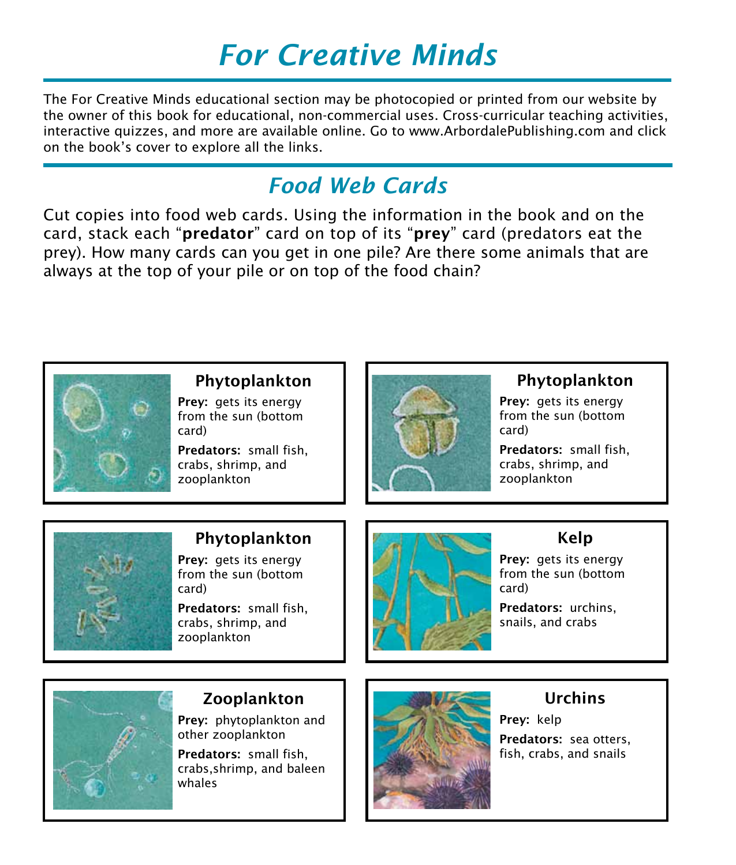# *For Creative Minds*

The For Creative Minds educational section may be photocopied or printed from our website by the owner of this book for educational, non-commercial uses. Cross-curricular teaching activities, interactive quizzes, and more are available online. Go to www.ArbordalePublishing.com and click on the book's cover to explore all the links.

# *Food Web Cards*

Cut copies into food web cards. Using the information in the book and on the card, stack each "predator" card on top of its "prey" card (predators eat the prey). How many cards can you get in one pile? Are there some animals that are always at the top of your pile or on top of the food chain?



#### Phytoplankton

Prey: gets its energy from the sun (bottom card)

Predators: small fish, crabs, shrimp, and zooplankton



#### Phytoplankton

Prey: gets its energy from the sun (bottom card)

Predators: small fish, crabs, shrimp, and zooplankton



# Phytoplankton

Prey: gets its energy from the sun (bottom card)

Predators: small fish, crabs, shrimp, and zooplankton



#### Kelp

Prey: gets its energy from the sun (bottom card)

Predators: urchins, snails, and crabs



# Zooplankton

Prey: phytoplankton and other zooplankton

Predators: small fish, crabs,shrimp, and baleen whales



# Urchins

Prey: kelp Predators: sea otters, fish, crabs, and snails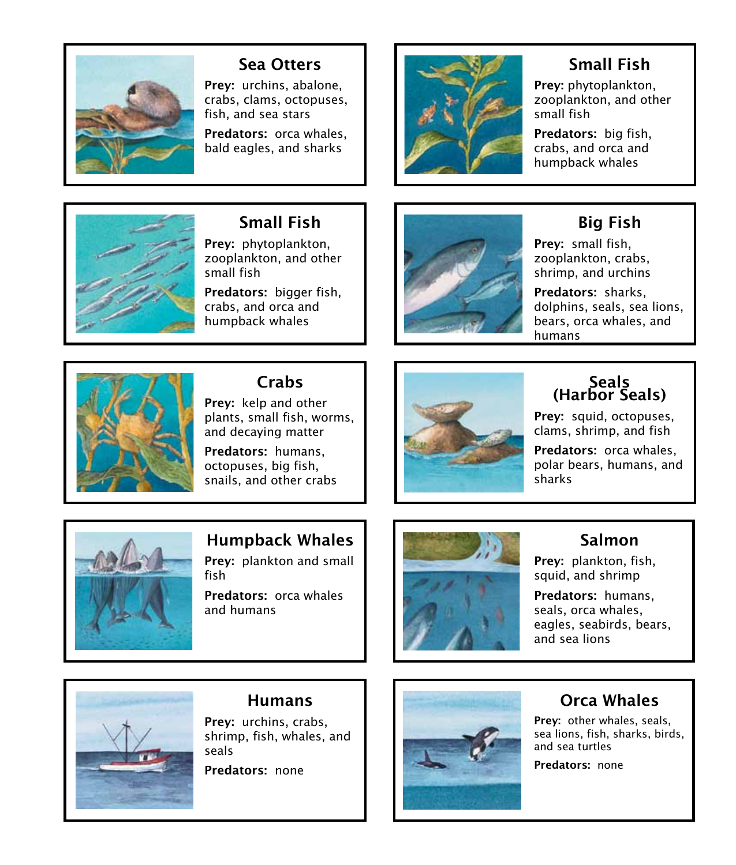

#### Sea Otters

Prey: urchins, abalone, crabs, clams, octopuses, fish, and sea stars

Predators: orca whales, bald eagles, and sharks



# Small Fish

Prey: phytoplankton, zooplankton, and other small fish

Predators: big fish, crabs, and orca and humpback whales



# Small Fish

Prey: phytoplankton, zooplankton, and other small fish

Predators: bigger fish, crabs, and orca and humpback whales



# Big Fish

Prey: small fish, zooplankton, crabs, shrimp, and urchins

Predators: sharks, dolphins, seals, sea lions, bears, orca whales, and humans



#### **Crabs**

Prey: kelp and other plants, small fish, worms, and decaying matter

Predators: humans, octopuses, big fish, snails, and other crabs



#### Seals (Harbor Seals)

Prey: squid, octopuses, clams, shrimp, and fish

Predators: orca whales, polar bears, humans, and sharks



#### Humpback Whales

Prey: plankton and small fish

Predators: orca whales and humans



# Salmon

Prey: plankton, fish, squid, and shrimp

Predators: humans, seals, orca whales, eagles, seabirds, bears, and sea lions



#### **Humans**

Prey: urchins, crabs, shrimp, fish, whales, and seals

Predators: none



# Orca Whales

Prey: other whales, seals, sea lions, fish, sharks, birds, and sea turtles

Predators: none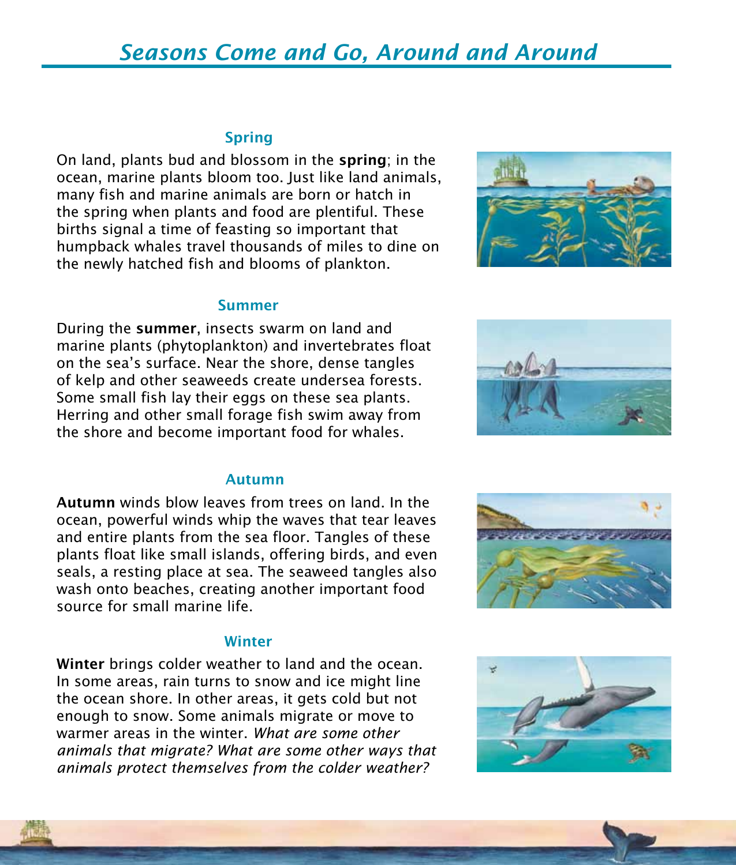# *Seasons Come and Go, Around and Around*

#### Spring

On land, plants bud and blossom in the spring; in the ocean, marine plants bloom too. Just like land animals, many fish and marine animals are born or hatch in the spring when plants and food are plentiful. These births signal a time of feasting so important that humpback whales travel thousands of miles to dine on the newly hatched fish and blooms of plankton.

#### Summer

During the summer, insects swarm on land and marine plants (phytoplankton) and invertebrates float on the sea's surface. Near the shore, dense tangles of kelp and other seaweeds create undersea forests. Some small fish lay their eggs on these sea plants. Herring and other small forage fish swim away from the shore and become important food for whales.





#### Autumn

Autumn winds blow leaves from trees on land. In the ocean, powerful winds whip the waves that tear leaves and entire plants from the sea floor. Tangles of these plants float like small islands, offering birds, and even seals, a resting place at sea. The seaweed tangles also wash onto beaches, creating another important food source for small marine life.



#### **Winter**

Winter brings colder weather to land and the ocean. In some areas, rain turns to snow and ice might line the ocean shore. In other areas, it gets cold but not enough to snow. Some animals migrate or move to warmer areas in the winter. *What are some other animals that migrate? What are some other ways that animals protect themselves from the colder weather?*